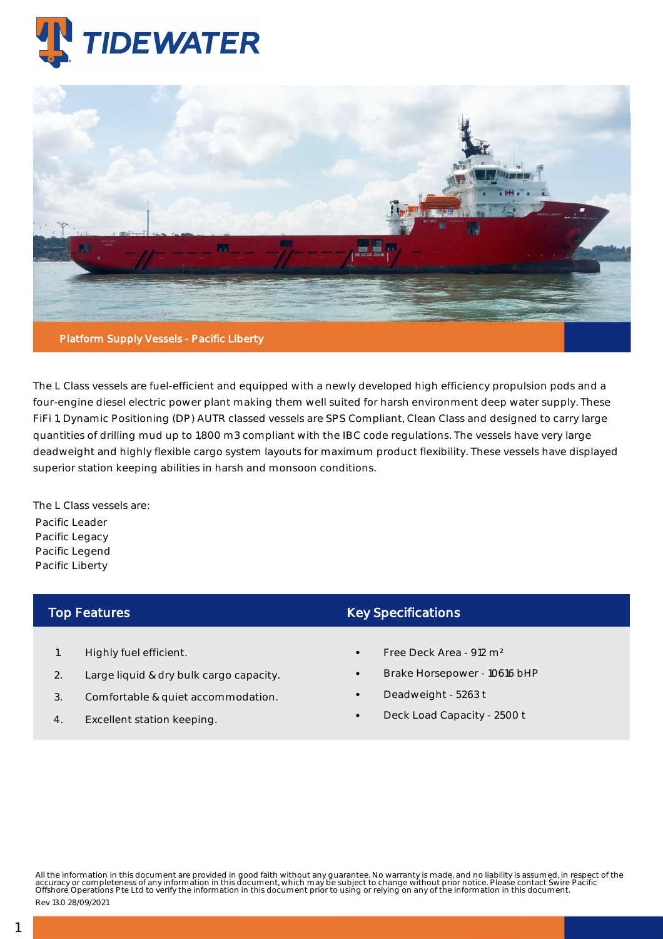



The L Class vessels are fuel-efficient and equipped with a newly developed high efficiency propulsion pods and a four-engine diesel electric power plant making them well suited for harsh environment deep water supply. These FiFi 1, Dynamic Positioning (DP) AUTR classed vessels are SPS Compliant, Clean Class and designed to carry large quantities of drilling mud up to 1,800 m3 compliant with the IBC code regulations. The vessels have very large deadweight and highly flexible cargo system layouts for maximum product flexibility. These vessels have displayed superior station keeping abilities in harsh and monsoon conditions.

The L Class vessels are: Pacific Leader Pacific Legacy Pacific Legend Pacific Liberty

## Top Features

- 1. Highly fuel efficient.
- 2. Large liquid & dry bulk cargo capacity.
- 3. Comfortable & quiet accommodation.
- 4. Excellent station keeping.

## Key Specifications

- Free Deck Area 912 m²
- Brake Horsepower 10616 bHP
- Deadweight 5263 t
- Deck Load Capacity 2500 t

All the information in this document are provided in good faith without any guarantee. No warranty is made, and no liability is assumed, in respect of the<br>accuracy or completeness of any information in this document, which

Rev 13.0 28/09/2021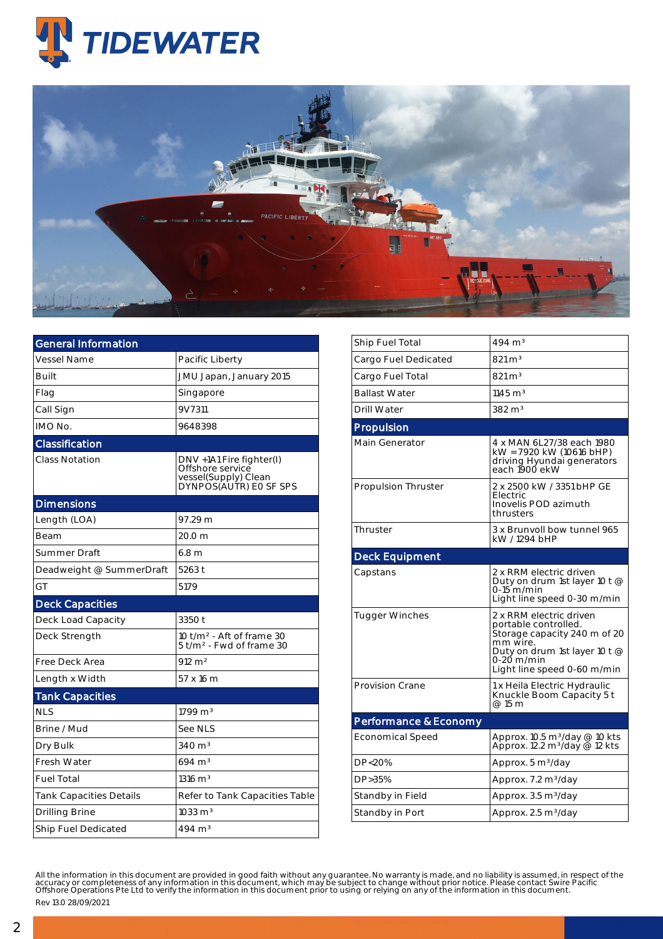



| <b>General Information</b>     |                                                                                                |  |  |  |  |
|--------------------------------|------------------------------------------------------------------------------------------------|--|--|--|--|
| Vessel Name                    | Pacific Liberty                                                                                |  |  |  |  |
| <b>Built</b>                   | JMU Japan, January 2015                                                                        |  |  |  |  |
| Flag                           | Singapore                                                                                      |  |  |  |  |
| Call Sign                      | 9V7311                                                                                         |  |  |  |  |
| IMO No.                        | 9648398                                                                                        |  |  |  |  |
| Classification                 |                                                                                                |  |  |  |  |
| <b>Class Notation</b>          | DNV +1A1 Fire fighter(I)<br>Offshore service<br>vessel(Supply) Clean<br>DYNPOS(AUTR) EO SF SPS |  |  |  |  |
| <b>Dimensions</b>              |                                                                                                |  |  |  |  |
| Length (LOA)                   | 97.29 m                                                                                        |  |  |  |  |
| Beam                           | 20.0 m                                                                                         |  |  |  |  |
| Summer Draft                   | 6.8 <sub>m</sub>                                                                               |  |  |  |  |
| Deadweight @ SummerDraft       | 5263 t                                                                                         |  |  |  |  |
| GT                             | 5179                                                                                           |  |  |  |  |
| <b>Deck Capacities</b>         |                                                                                                |  |  |  |  |
| Deck Load Capacity             | 3350 t                                                                                         |  |  |  |  |
| Deck Strength                  | 10 t/m <sup>2</sup> - Aft of frame 30<br>5 t/m <sup>2</sup> - Fwd of frame 30                  |  |  |  |  |
| Free Deck Area                 | $912 \, \text{m}^2$                                                                            |  |  |  |  |
| Length x Width                 | 57 x 16 m                                                                                      |  |  |  |  |
| <b>Tank Capacities</b>         |                                                                                                |  |  |  |  |
| <b>NLS</b>                     | $1799 \text{ m}^3$                                                                             |  |  |  |  |
| Brine / Mud                    | See NLS                                                                                        |  |  |  |  |
| Dry Bulk                       | $340 \text{ m}^3$                                                                              |  |  |  |  |
| <b>Fresh Water</b>             | $694 \; \mathrm{m}^3$                                                                          |  |  |  |  |
| <b>Fuel Total</b>              | $1316 \; \mathrm{m}^3$                                                                         |  |  |  |  |
| <b>Tank Capacities Details</b> | Refer to Tank Capacities Table                                                                 |  |  |  |  |
| Drilling Brine                 | $1033 \text{ m}^3$                                                                             |  |  |  |  |
| Ship Fuel Dedicated            | 494 m <sup>3</sup>                                                                             |  |  |  |  |

| Ship Fuel Total            | $494 \; \mathrm{m}^3$                                                                                                                                                     |  |  |  |  |  |
|----------------------------|---------------------------------------------------------------------------------------------------------------------------------------------------------------------------|--|--|--|--|--|
| Cargo Fuel Dedicated       | $821 \text{ m}^3$                                                                                                                                                         |  |  |  |  |  |
| Cargo Fuel Total           | $821 \,\mathrm{m}^3$                                                                                                                                                      |  |  |  |  |  |
| <b>Ballast Water</b>       | $1145 \text{ m}^3$                                                                                                                                                        |  |  |  |  |  |
| Drill Water                | $382 \text{ m}^3$                                                                                                                                                         |  |  |  |  |  |
| Propulsion                 |                                                                                                                                                                           |  |  |  |  |  |
| <b>Main Generator</b>      | 4 x MAN 6L27/38 each 1980<br>kW = 7920 kW (10616 bHP)<br>driving Hyundai generators<br>each 1900 ekW                                                                      |  |  |  |  |  |
| <b>Propulsion Thruster</b> | 2 x 2500 kW / 3351 bHP GE<br>Electric<br>Inovelis POD azimuth<br>thrusters                                                                                                |  |  |  |  |  |
| Thruster                   | 3 x Brunvoll bow tunnel 965<br>kW / 1294 bHP                                                                                                                              |  |  |  |  |  |
| <b>Deck Equipment</b>      |                                                                                                                                                                           |  |  |  |  |  |
| Capstans                   | 2 x RRM electric driven<br>Duty on drum 1st layer 10 t @<br>0-15 m/min<br>Light line speed 0-30 m/min                                                                     |  |  |  |  |  |
| <b>Tugger Winches</b>      | 2 x RRM electric driven<br>portable controlled.<br>Storage capacity 240 m of 20<br>mm wire.<br>Duty on drum 1st layer 10 t @<br>0-20 m/min<br>Light line speed 0-60 m/min |  |  |  |  |  |
| <b>Provision Crane</b>     | 1 x Heila Electric Hydraulic<br>Knuckle Boom Capacity 5 t<br>@ 15 m                                                                                                       |  |  |  |  |  |
| Performance & Economy      |                                                                                                                                                                           |  |  |  |  |  |
| <b>Economical Speed</b>    | Approx. 10.5 m <sup>3</sup> /day @ 10 kts<br>Approx. 12.2 m <sup>3</sup> /day @ 12 kts                                                                                    |  |  |  |  |  |
| DP<20%                     | Approx. 5 m <sup>3</sup> /day                                                                                                                                             |  |  |  |  |  |
| DP>35%                     | Approx. 7.2 m <sup>3</sup> /day                                                                                                                                           |  |  |  |  |  |
| Standby in Field           | Approx. 3.5 m <sup>3</sup> /day                                                                                                                                           |  |  |  |  |  |
| Standby in Port            | Approx. 2.5 m <sup>3</sup> /day                                                                                                                                           |  |  |  |  |  |

All the information in this document are provided in good faith without any guarantee. No warranty is made, and no liability is assumed, in respect of the<br>accuracy or completeness of any information in this document, which Rev 13.0 28/09/2021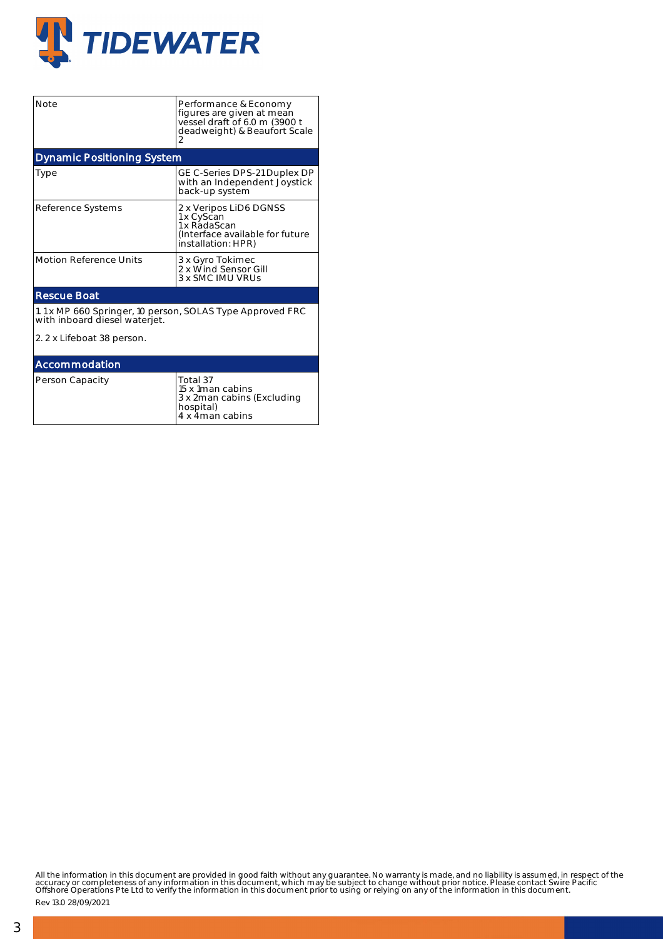

| <b>Note</b>                                                                                                              | Performance & Economy<br>figures are given at mean<br>vessel draft of 6.0 m (3900 t<br>deadweight) & Beaufort Scale<br>2 |  |  |  |  |  |  |
|--------------------------------------------------------------------------------------------------------------------------|--------------------------------------------------------------------------------------------------------------------------|--|--|--|--|--|--|
| <b>Dynamic Positioning System</b>                                                                                        |                                                                                                                          |  |  |  |  |  |  |
| Type                                                                                                                     | GE C-Series DPS-21 Duplex DP<br>with an Independent Joystick<br>back-up system                                           |  |  |  |  |  |  |
| Reference Systems                                                                                                        | 2 x Veripos LiD6 DGNSS<br>1 x CyScan<br>1 x RadaScan<br>(Interface available for future<br>installation: HPR)            |  |  |  |  |  |  |
| <b>Motion Reference Units</b>                                                                                            | 3 x Gyro Tokimec<br>2 x Wind Sensor Gill<br>3 x SMC IMU VRUS                                                             |  |  |  |  |  |  |
| <b>Rescue Boat</b>                                                                                                       |                                                                                                                          |  |  |  |  |  |  |
| 1.1 x MP 660 Springer, 10 person, SOLAS Type Approved FRC<br>with inboard diesel waterjet.<br>2. 2 x Lifeboat 38 person. |                                                                                                                          |  |  |  |  |  |  |
| Accommodation                                                                                                            |                                                                                                                          |  |  |  |  |  |  |
| Person Capacity                                                                                                          | Total 37<br>15 x 1 man cabins<br>3 x 2man cabins (Excluding                                                              |  |  |  |  |  |  |

hospital) 4 x 4man cabins

All the information in this document are provided in good faith without any guarantee. No warranty is made, and no liability is assumed, in respect of the<br>accuracy or completeness of any information in this document, which

Rev 13.0 28/09/2021